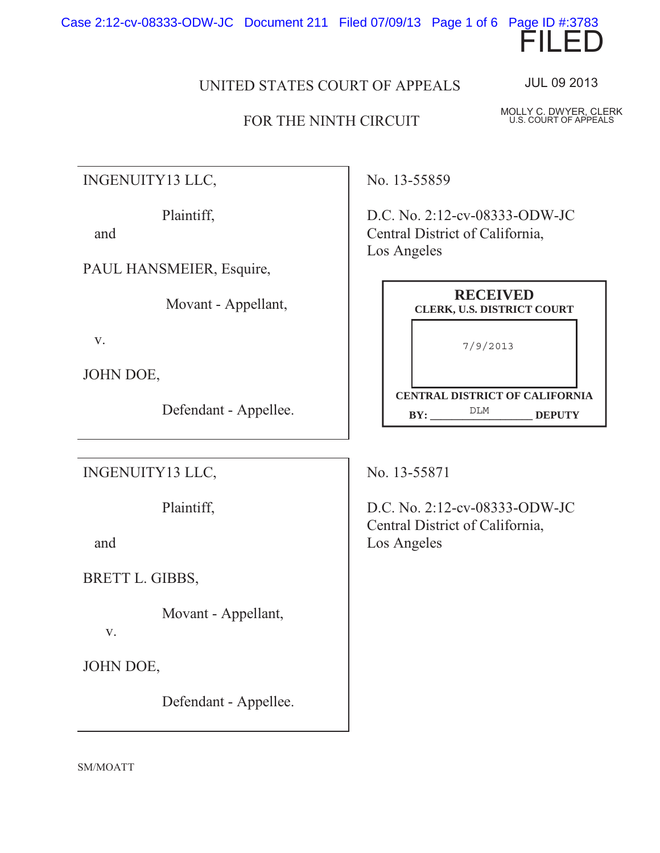Case 2:12-cv-08333-ODW-JC Document 211 Filed 07/09/13 Page 1 of 6 Page ID #:3783



## FOR THE NINTH CIRCUIT

INGENUITY13 LLC,

Plaintiff,

and

PAUL HANSMEIER, Esquire,

Movant - Appellant,

v.

JOHN DOE,

Defendant - Appellee.

INGENUITY13 LLC,

Plaintiff,

and

BRETT L. GIBBS,

Movant - Appellant,

v.

JOHN DOE,

Defendant - Appellee.

No. 13-55859

D.C. No. 2:12-cv-08333-ODW-JC Central District of California, Los Angeles

| <b>RECEIVED</b><br><b>CLERK, U.S. DISTRICT COURT</b> |                                       |
|------------------------------------------------------|---------------------------------------|
| 7/9/2013                                             |                                       |
|                                                      | <b>CENTRAL DISTRICT OF CALIFORNIA</b> |
| DT M                                                 |                                       |

No. 13-55871

D.C. No. 2:12-cv-08333-ODW-JC Central District of California, Los Angeles

JUL 09 2013

MOLLY C. DWYER, CLERK U.S. COURT OF APPEALS

FILED

SM/MOATT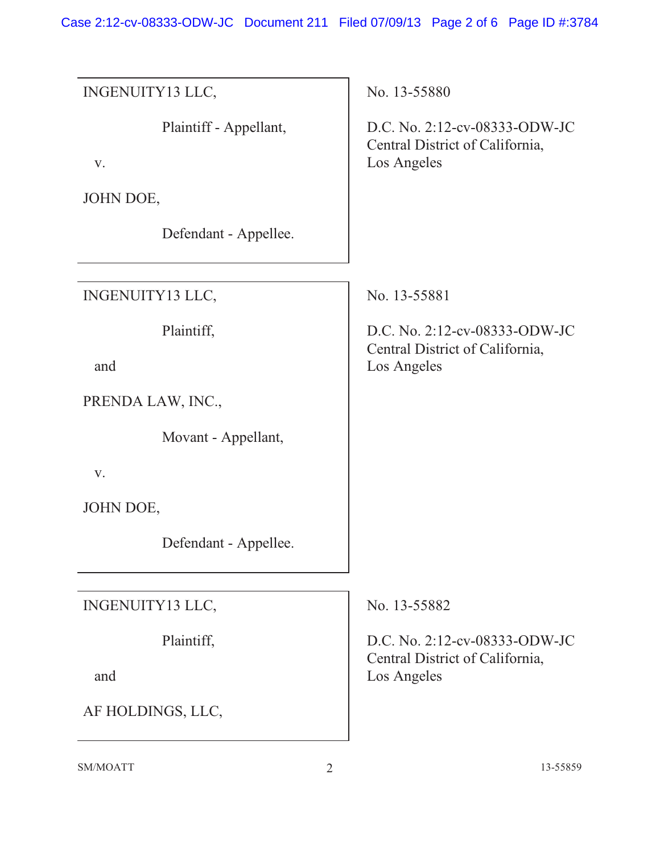Case 2:12-cv-08333-ODW-JC Document 211 Filed 07/09/13 Page 2 of 6 Page ID #:3784

INGENUITY13 LLC, Plaintiff - Appellant, v. JOHN DOE, Defendant - Appellee. No. 13-55880 D.C. No. 2:12-cv-08333-ODW-JC Central District of California, Los Angeles INGENUITY13 LLC, Plaintiff, and PRENDA LAW, INC., Movant - Appellant, v. JOHN DOE, Defendant - Appellee. No. 13-55881 D.C. No. 2:12-cv-08333-ODW-JC Central District of California, Los Angeles INGENUITY13 LLC, Plaintiff, and AF HOLDINGS, LLC, No. 13-55882 D.C. No. 2:12-cv-08333-ODW-JC Central District of California, Los Angeles SM/MOATT 2 13-55859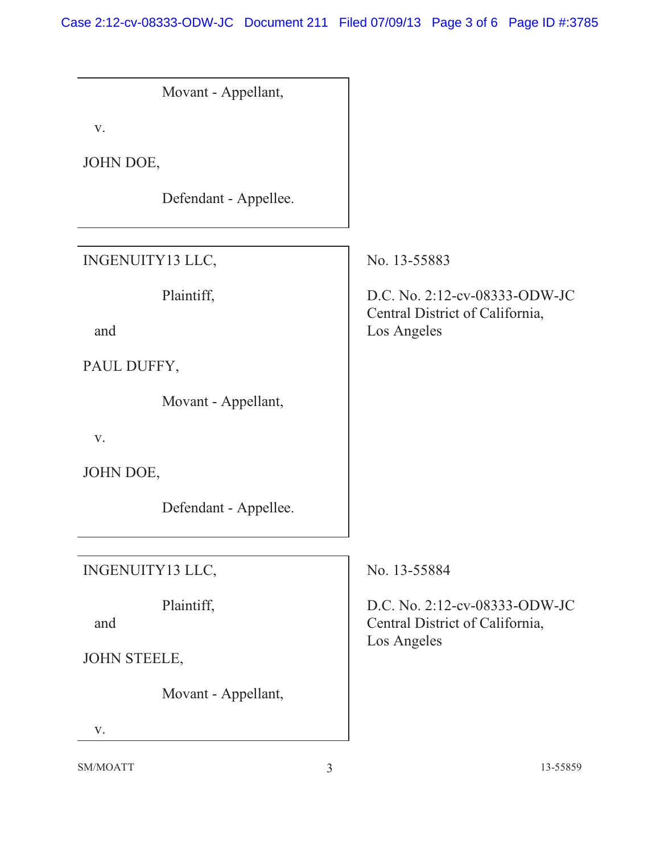Movant - Appellant, v. JOHN DOE, Defendant - Appellee. INGENUITY13 LLC, Plaintiff, and PAUL DUFFY, Movant - Appellant, v. JOHN DOE, Defendant - Appellee. No. 13-55883 D.C. No. 2:12-cv-08333-ODW-JC Central District of California, Los Angeles INGENUITY13 LLC, Plaintiff, and JOHN STEELE, Movant - Appellant, v. No. 13-55884 D.C. No. 2:12-cv-08333-ODW-JC Central District of California, Los Angeles SM/MOATT 3 13-55859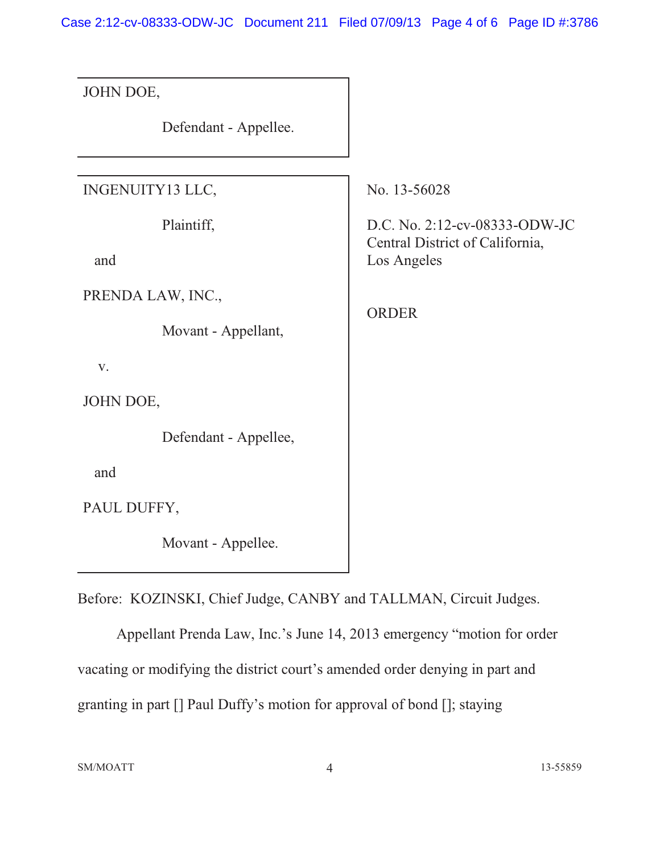| JOHN DOE,             |                                                                                 |
|-----------------------|---------------------------------------------------------------------------------|
| Defendant - Appellee. |                                                                                 |
| INGENUITY13 LLC,      | No. 13-56028                                                                    |
| Plaintiff,<br>and     | D.C. No. 2:12-cv-08333-ODW-JC<br>Central District of California,<br>Los Angeles |
| PRENDA LAW, INC.,     | <b>ORDER</b>                                                                    |
| Movant - Appellant,   |                                                                                 |
| V.                    |                                                                                 |
| JOHN DOE,             |                                                                                 |
| Defendant - Appellee, |                                                                                 |
| and                   |                                                                                 |
| PAUL DUFFY,           |                                                                                 |
| Movant - Appellee.    |                                                                                 |

Before: KOZINSKI, Chief Judge, CANBY and TALLMAN, Circuit Judges.

Appellant Prenda Law, Inc.'s June 14, 2013 emergency "motion for order vacating or modifying the district court's amended order denying in part and granting in part [] Paul Duffy's motion for approval of bond []; staying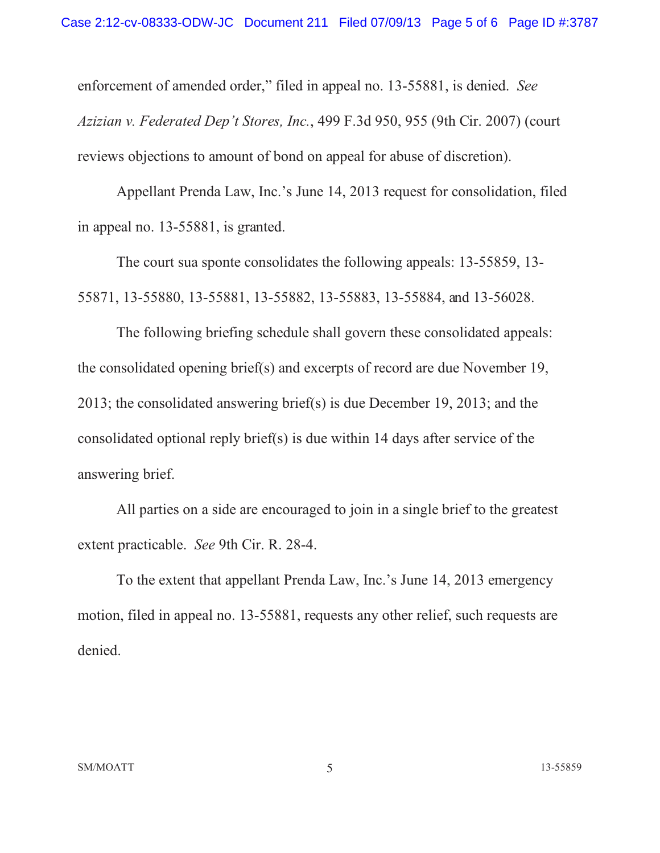enforcement of amended order," filed in appeal no. 13-55881, is denied. *See Azizian v. Federated Dep't Stores, Inc.*, 499 F.3d 950, 955 (9th Cir. 2007) (court reviews objections to amount of bond on appeal for abuse of discretion).

Appellant Prenda Law, Inc.'s June 14, 2013 request for consolidation, filed in appeal no. 13-55881, is granted.

The court sua sponte consolidates the following appeals: 13-55859, 13- 55871, 13-55880, 13-55881, 13-55882, 13-55883, 13-55884, and 13-56028.

The following briefing schedule shall govern these consolidated appeals: the consolidated opening brief(s) and excerpts of record are due November 19, 2013; the consolidated answering brief(s) is due December 19, 2013; and the consolidated optional reply brief(s) is due within 14 days after service of the answering brief.

All parties on a side are encouraged to join in a single brief to the greatest extent practicable. *See* 9th Cir. R. 28-4.

To the extent that appellant Prenda Law, Inc.'s June 14, 2013 emergency motion, filed in appeal no. 13-55881, requests any other relief, such requests are denied.